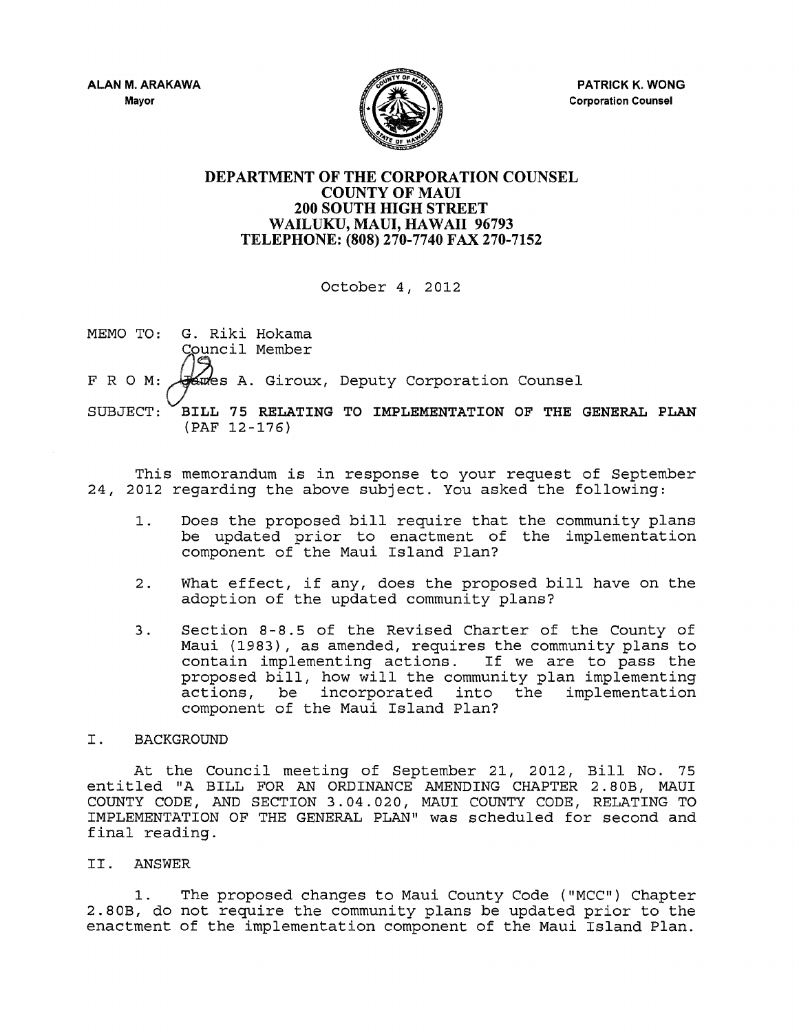

## DEPARTMENT OF THE CORPORATION COUNSEL COUNTY OF MAUl 200 SOUTH HIGH STREET WAILUKU, MAUI, HAWAII 96793 TELEPHONE: (808) 270-7740 FAX 270-7152

October 4, 2012

MEMO TO: G. Riki Hokama Council Member  $F$  R O M:  $\sqrt{s}$  and S A. Giroux, Deputy Corporation Counsel SUBJECT: PILL 75 RELATING TO IMPLEMENTATION OF THE GENERAL PLAN (PAF 12-176)

This memorandum is in response to your request of September 24, 2012 regarding the above subject. You asked the following:

- 1. Does the proposed bill require that the community plans be updated prior to enactment of the implementation component of the Maui Island Plan?
- 2. What effect, if any, does the proposed bill have on the adoption of the updated community plans?
- 3. Section 8-8.5 of the Revised Charter of the County of Maui (1983), as amended, requires the community plans to contain implementing actions. If we are to pass the proposed bill, how will the community plan implementing actions, be incorporated into the implementation component of the Maui Island Plan?

## I. BACKGROUND

At the Council meeting of September 21, 2012, Bill No. 75 entitled "A BILL FOR AN ORDINANCE AMENDING CHAPTER 2. SOB, MAUI COUNTY CODE, AND SECTION 3.04.020, MAUI COUNTY CODE, RELATING TO IMPLEMENTATION OF THE GENERAL PLAN" was scheduled for second and final reading.

## II. ANSWER

1. The proposed changes to Maui County Code ( "MCC") Chapter 2.80B, do not require the community plans be updated prior to the enactment of the implementation component of the Maui Island Plan.